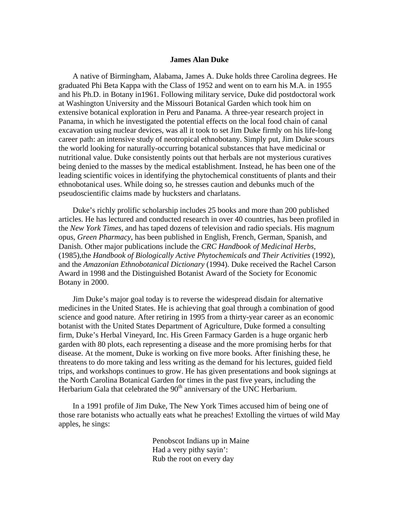## **James Alan Duke**

A native of Birmingham, Alabama, James A. Duke holds three Carolina degrees. He graduated Phi Beta Kappa with the Class of 1952 and went on to earn his M.A. in 1955 and his Ph.D. in Botany in1961. Following military service, Duke did postdoctoral work at Washington University and the Missouri Botanical Garden which took him on extensive botanical exploration in Peru and Panama. A three-year research project in Panama, in which he investigated the potential effects on the local food chain of canal excavation using nuclear devices, was all it took to set Jim Duke firmly on his life-long career path: an intensive study of neotropical ethnobotany. Simply put, Jim Duke scours the world looking for naturally-occurring botanical substances that have medicinal or nutritional value. Duke consistently points out that herbals are not mysterious curatives being denied to the masses by the medical establishment. Instead, he has been one of the leading scientific voices in identifying the phytochemical constituents of plants and their ethnobotanical uses. While doing so, he stresses caution and debunks much of the pseudoscientific claims made by hucksters and charlatans.

Duke's richly prolific scholarship includes 25 books and more than 200 published articles. He has lectured and conducted research in over 40 countries, has been profiled in the *New York Times*, and has taped dozens of television and radio specials. His magnum opus, *Green Pharmacy*, has been published in English, French, German, Spanish, and Danish. Other major publications include the *CRC Handbook of Medicinal Herbs*, (1985),the *Handbook of Biologically Active Phytochemicals and Their Activities* (1992), and the *Amazonian Ethnobotanical Dictionary* (1994). Duke received the Rachel Carson Award in 1998 and the Distinguished Botanist Award of the Society for Economic Botany in 2000.

Jim Duke's major goal today is to reverse the widespread disdain for alternative medicines in the United States. He is achieving that goal through a combination of good science and good nature. After retiring in 1995 from a thirty-year career as an economic botanist with the United States Department of Agriculture, Duke formed a consulting firm, Duke's Herbal Vineyard, Inc. His Green Farmacy Garden is a huge organic herb garden with 80 plots, each representing a disease and the more promising herbs for that disease. At the moment, Duke is working on five more books. After finishing these, he threatens to do more taking and less writing as the demand for his lectures, guided field trips, and workshops continues to grow. He has given presentations and book signings at the North Carolina Botanical Garden for times in the past five years, including the Herbarium Gala that celebrated the 90<sup>th</sup> anniversary of the UNC Herbarium.

In a 1991 profile of Jim Duke, The New York Times accused him of being one of those rare botanists who actually eats what he preaches! Extolling the virtues of wild May apples, he sings:

> Penobscot Indians up in Maine Had a very pithy sayin': Rub the root on every day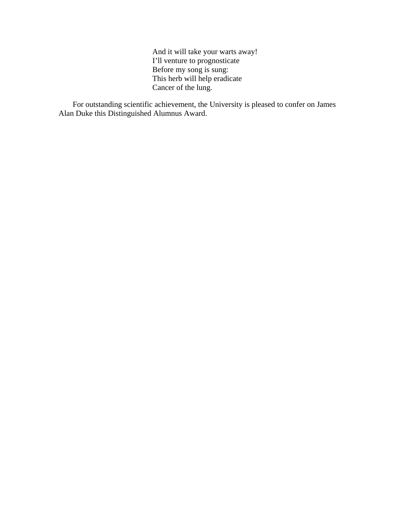And it will take your warts away! I'll venture to prognosticate Before my song is sung: This herb will help eradicate Cancer of the lung.

For outstanding scientific achievement, the University is pleased to confer on James Alan Duke this Distinguished Alumnus Award.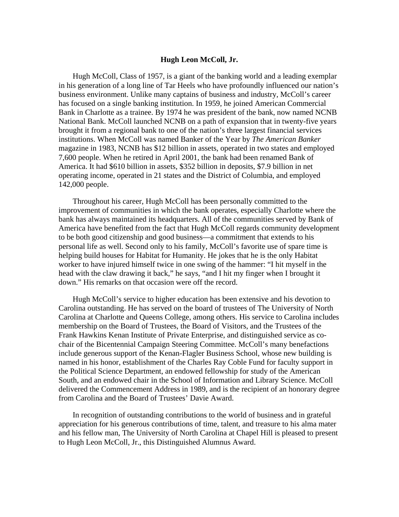## **Hugh Leon McColl, Jr.**

Hugh McColl, Class of 1957, is a giant of the banking world and a leading exemplar in his generation of a long line of Tar Heels who have profoundly influenced our nation's business environment. Unlike many captains of business and industry, McColl's career has focused on a single banking institution. In 1959, he joined American Commercial Bank in Charlotte as a trainee. By 1974 he was president of the bank, now named NCNB National Bank. McColl launched NCNB on a path of expansion that in twenty-five years brought it from a regional bank to one of the nation's three largest financial services institutions. When McColl was named Banker of the Year by *The American Banker* magazine in 1983, NCNB has \$12 billion in assets, operated in two states and employed 7,600 people. When he retired in April 2001, the bank had been renamed Bank of America. It had \$610 billion in assets, \$352 billion in deposits, \$7.9 billion in net operating income, operated in 21 states and the District of Columbia, and employed 142,000 people.

Throughout his career, Hugh McColl has been personally committed to the improvement of communities in which the bank operates, especially Charlotte where the bank has always maintained its headquarters. All of the communities served by Bank of America have benefited from the fact that Hugh McColl regards community development to be both good citizenship and good business—a commitment that extends to his personal life as well. Second only to his family, McColl's favorite use of spare time is helping build houses for Habitat for Humanity. He jokes that he is the only Habitat worker to have injured himself twice in one swing of the hammer: "I hit myself in the head with the claw drawing it back," he says, "and I hit my finger when I brought it down." His remarks on that occasion were off the record.

Hugh McColl's service to higher education has been extensive and his devotion to Carolina outstanding. He has served on the board of trustees of The University of North Carolina at Charlotte and Queens College, among others. His service to Carolina includes membership on the Board of Trustees, the Board of Visitors, and the Trustees of the Frank Hawkins Kenan Institute of Private Enterprise, and distinguished service as cochair of the Bicentennial Campaign Steering Committee. McColl's many benefactions include generous support of the Kenan-Flagler Business School, whose new building is named in his honor, establishment of the Charles Ray Coble Fund for faculty support in the Political Science Department, an endowed fellowship for study of the American South, and an endowed chair in the School of Information and Library Science. McColl delivered the Commencement Address in 1989, and is the recipient of an honorary degree from Carolina and the Board of Trustees' Davie Award.

In recognition of outstanding contributions to the world of business and in grateful appreciation for his generous contributions of time, talent, and treasure to his alma mater and his fellow man, The University of North Carolina at Chapel Hill is pleased to present to Hugh Leon McColl, Jr., this Distinguished Alumnus Award.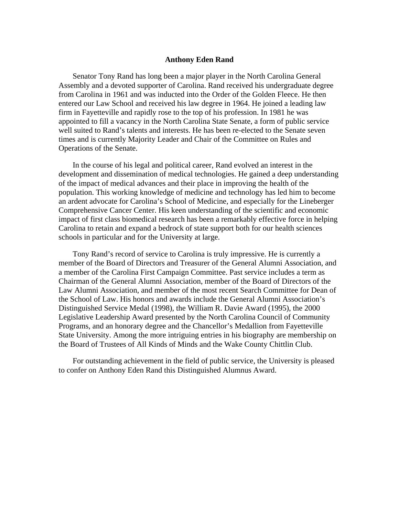## **Anthony Eden Rand**

Senator Tony Rand has long been a major player in the North Carolina General Assembly and a devoted supporter of Carolina. Rand received his undergraduate degree from Carolina in 1961 and was inducted into the Order of the Golden Fleece. He then entered our Law School and received his law degree in 1964. He joined a leading law firm in Fayetteville and rapidly rose to the top of his profession. In 1981 he was appointed to fill a vacancy in the North Carolina State Senate, a form of public service well suited to Rand's talents and interests. He has been re-elected to the Senate seven times and is currently Majority Leader and Chair of the Committee on Rules and Operations of the Senate.

In the course of his legal and political career, Rand evolved an interest in the development and dissemination of medical technologies. He gained a deep understanding of the impact of medical advances and their place in improving the health of the population. This working knowledge of medicine and technology has led him to become an ardent advocate for Carolina's School of Medicine, and especially for the Lineberger Comprehensive Cancer Center. His keen understanding of the scientific and economic impact of first class biomedical research has been a remarkably effective force in helping Carolina to retain and expand a bedrock of state support both for our health sciences schools in particular and for the University at large.

Tony Rand's record of service to Carolina is truly impressive. He is currently a member of the Board of Directors and Treasurer of the General Alumni Association, and a member of the Carolina First Campaign Committee. Past service includes a term as Chairman of the General Alumni Association, member of the Board of Directors of the Law Alumni Association, and member of the most recent Search Committee for Dean of the School of Law. His honors and awards include the General Alumni Association's Distinguished Service Medal (1998), the William R. Davie Award (1995), the 2000 Legislative Leadership Award presented by the North Carolina Council of Community Programs, and an honorary degree and the Chancellor's Medallion from Fayetteville State University. Among the more intriguing entries in his biography are membership on the Board of Trustees of All Kinds of Minds and the Wake County Chittlin Club.

For outstanding achievement in the field of public service, the University is pleased to confer on Anthony Eden Rand this Distinguished Alumnus Award.